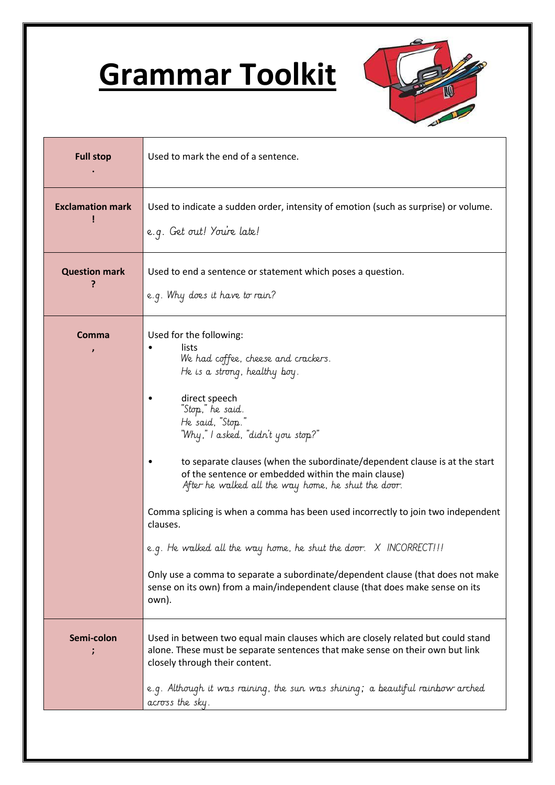## **Grammar Toolkit**



| <b>Full stop</b>        | Used to mark the end of a sentence.                                                                                                                                                                                                                                                                                                                                                                                                                                                                                                                                                                                                                                                                                                                  |
|-------------------------|------------------------------------------------------------------------------------------------------------------------------------------------------------------------------------------------------------------------------------------------------------------------------------------------------------------------------------------------------------------------------------------------------------------------------------------------------------------------------------------------------------------------------------------------------------------------------------------------------------------------------------------------------------------------------------------------------------------------------------------------------|
| <b>Exclamation mark</b> | Used to indicate a sudden order, intensity of emotion (such as surprise) or volume.<br>e.g. Get out! You're late!                                                                                                                                                                                                                                                                                                                                                                                                                                                                                                                                                                                                                                    |
| <b>Question mark</b>    | Used to end a sentence or statement which poses a question.<br>e.g. Why does it have to rain?                                                                                                                                                                                                                                                                                                                                                                                                                                                                                                                                                                                                                                                        |
| Comma                   | Used for the following:<br>lists<br>We had coffee, cheese and crackers.<br>He is a strong, healthy boy.<br>direct speech<br>"Stop," he said.<br>He said, "Stop."<br>"Why," I asked, "didn't you stop?"<br>to separate clauses (when the subordinate/dependent clause is at the start<br>of the sentence or embedded within the main clause)<br>After he walked all the way home, he shut the door.<br>Comma splicing is when a comma has been used incorrectly to join two independent<br>clauses.<br>e.g. He walked all the way home, he shut the door. X INCORRECT!!!<br>Only use a comma to separate a subordinate/dependent clause (that does not make<br>sense on its own) from a main/independent clause (that does make sense on its<br>own). |
| Semi-colon              | Used in between two equal main clauses which are closely related but could stand<br>alone. These must be separate sentences that make sense on their own but link<br>closely through their content.<br>e.g. Although it was raining, the sun was shining; a beautiful rainbow arched<br>across the sky.                                                                                                                                                                                                                                                                                                                                                                                                                                              |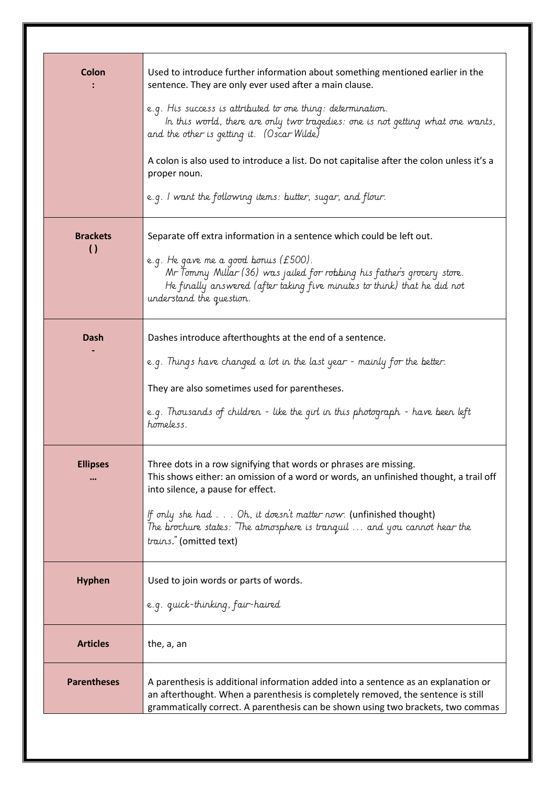| Colon                               | Used to introduce further information about something mentioned earlier in the<br>sentence. They are only ever used after a main clause.<br>e.g. His success is attributed to one thing: determination.<br>In this world, there are only two tragedies: one is not getting what one wants,<br>and the other is getting it. (Oscar Wilde)<br>A colon is also used to introduce a list. Do not capitalise after the colon unless it's a<br>proper noun.<br>e.g. I want the following items: butter, sugar, and flour. |
|-------------------------------------|---------------------------------------------------------------------------------------------------------------------------------------------------------------------------------------------------------------------------------------------------------------------------------------------------------------------------------------------------------------------------------------------------------------------------------------------------------------------------------------------------------------------|
| <b>Brackets</b><br>$\left( \right)$ | Separate off extra information in a sentence which could be left out.<br>e.g. He gave me a good bonus (£500).<br>Mr Tommy Millar (36) was jailed for robbing his father's grocery store.<br>He finally answered (after taking five minutes to think) that he did not<br>understand the question.                                                                                                                                                                                                                    |
| Dash                                | Dashes introduce afterthoughts at the end of a sentence.<br>e.g. Things have changed a lot in the last year - mainly for the better.<br>They are also sometimes used for parentheses.<br>e.g. Thousands of children - like the girl in this photograph - have been left<br>homeless.                                                                                                                                                                                                                                |
| <b>Ellipses</b>                     | Three dots in a row signifying that words or phrases are missing.<br>This shows either: an omission of a word or words, an unfinished thought, a trail off<br>into silence, a pause for effect.<br>If only she had Oh, it doesn't matter now. (unfinished thought)<br>The brochure states: "The atmosphere is tranquil  and you cannot hear the<br>trains." (omitted text)                                                                                                                                          |
| <b>Hyphen</b>                       | Used to join words or parts of words.<br>e.g. quick-thinking, fair-haired                                                                                                                                                                                                                                                                                                                                                                                                                                           |
| <b>Articles</b>                     | the, a, an                                                                                                                                                                                                                                                                                                                                                                                                                                                                                                          |
| <b>Parentheses</b>                  | A parenthesis is additional information added into a sentence as an explanation or<br>an afterthought. When a parenthesis is completely removed, the sentence is still<br>grammatically correct. A parenthesis can be shown using two brackets, two commas                                                                                                                                                                                                                                                          |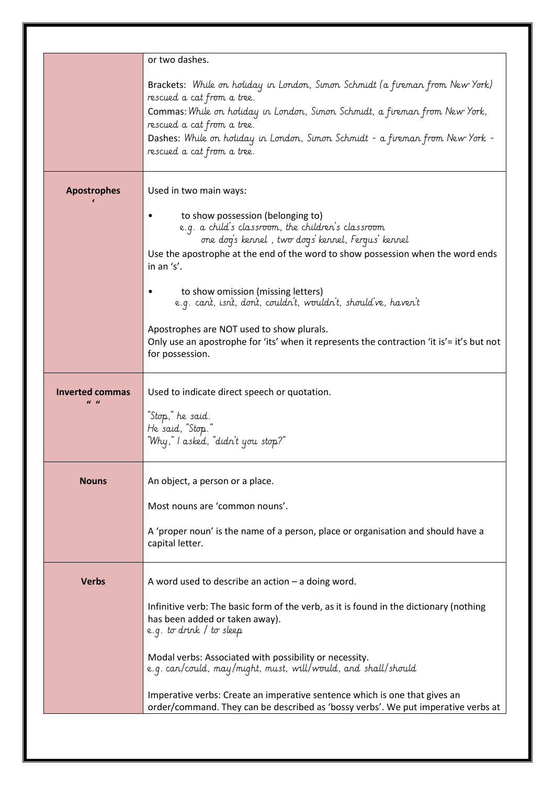|                                                      | or two dashes.                                                                                                                                                                                                                                                                                                                          |
|------------------------------------------------------|-----------------------------------------------------------------------------------------------------------------------------------------------------------------------------------------------------------------------------------------------------------------------------------------------------------------------------------------|
|                                                      | Brackets: While on holiday in London, Simon Schmidt (a fireman from New York)<br>rescued a cat from a tree.<br>Commas: While on holiday in London, Simon Schmidt, a fireman from New York,<br>rescued a cat from a tree.<br>Dashes: While on holiday in London, Simon Schmidt - a fireman from New York -<br>rescued a cat from a tree. |
| <b>Apostrophes</b>                                   | Used in two main ways:                                                                                                                                                                                                                                                                                                                  |
|                                                      | to show possession (belonging to)<br>e.g. a child's classroom, the children's classroom<br>one dog's kennel, two dogs' kennel, Fergus' kennel<br>Use the apostrophe at the end of the word to show possession when the word ends<br>in an 's'.                                                                                          |
|                                                      | to show omission (missing letters)<br>e.g. can't, isn't, don't, couldn't, wouldn't, should've, haven't                                                                                                                                                                                                                                  |
|                                                      | Apostrophes are NOT used to show plurals.<br>Only use an apostrophe for 'its' when it represents the contraction 'it is' = it's but not<br>for possession.                                                                                                                                                                              |
| Inverted commas<br>$\boldsymbol{u}$ $\boldsymbol{u}$ | Used to indicate direct speech or quotation.<br>"Stop," he said.<br>He said, "Stop."<br>"Why," I asked, "didn't you stop?"                                                                                                                                                                                                              |
| <b>Nouns</b>                                         | An object, a person or a place.<br>Most nouns are 'common nouns'.                                                                                                                                                                                                                                                                       |
|                                                      | A 'proper noun' is the name of a person, place or organisation and should have a<br>capital letter.                                                                                                                                                                                                                                     |
| <b>Verbs</b>                                         | A word used to describe an action $-$ a doing word.<br>Infinitive verb: The basic form of the verb, as it is found in the dictionary (nothing<br>has been added or taken away).<br>e.g. to drink / to sleep                                                                                                                             |
|                                                      | Modal verbs: Associated with possibility or necessity.<br>e.g. can/could, may/might, must, will/would, and shall/should                                                                                                                                                                                                                 |
|                                                      | Imperative verbs: Create an imperative sentence which is one that gives an<br>order/command. They can be described as 'bossy verbs'. We put imperative verbs at                                                                                                                                                                         |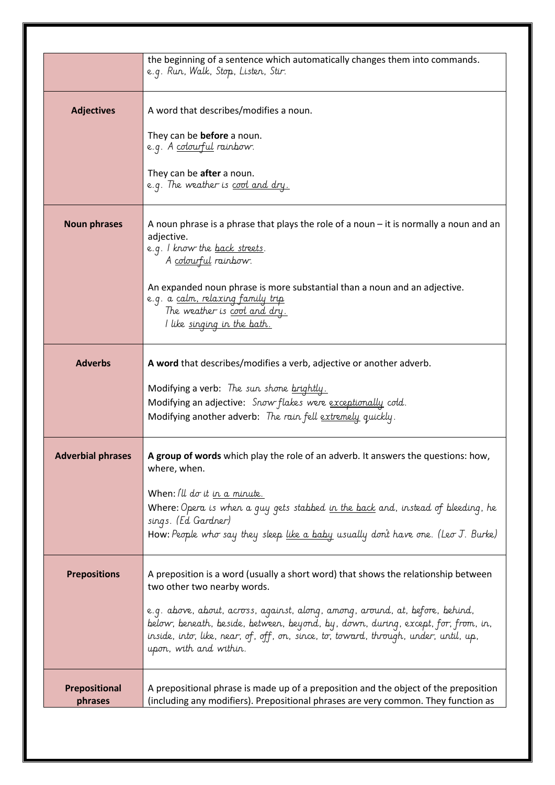|                                 | the beginning of a sentence which automatically changes them into commands.<br>e.g. Run, Walk, Stop, Listen, Stir.                                                                                                                                                                                                                                                                                        |
|---------------------------------|-----------------------------------------------------------------------------------------------------------------------------------------------------------------------------------------------------------------------------------------------------------------------------------------------------------------------------------------------------------------------------------------------------------|
| <b>Adjectives</b>               | A word that describes/modifies a noun.<br>They can be <b>before</b> a noun.<br>e.g. A colourful rainbow.<br>They can be <b>after</b> a noun.<br>e.g. The weather is cool and dry.                                                                                                                                                                                                                         |
| <b>Noun phrases</b>             | A noun phrase is a phrase that plays the role of a noun $-$ it is normally a noun and an<br>adjective.<br>e.g. I know the <u>back streets</u> .<br>A colourful rainbow.                                                                                                                                                                                                                                   |
|                                 | An expanded noun phrase is more substantial than a noun and an adjective.<br>e.g. a calm, relaxing family trip<br>The weather is cool and dry.<br>I like singing in the bath.                                                                                                                                                                                                                             |
| <b>Adverbs</b>                  | A word that describes/modifies a verb, adjective or another adverb.<br>Modifying a verb: The sun shone brightly.<br>Modifying an adjective: Snow flakes were exceptionally cold.<br>Modifying another adverb: The rain fell extremely quickly.                                                                                                                                                            |
| <b>Adverbial phrases</b>        | A group of words which play the role of an adverb. It answers the questions: how,<br>where, when.<br>When: $\mathcal{U} \mathcal{U}$ do it in a minute.<br>Where: Opera is when a guy gets stabbed in the back and, instead of bleeding, he<br>sings. (Ed Gardner)<br>How: People who say they sleep like a baby usually don't have one. (Leo J. Burke)                                                   |
| <b>Prepositions</b>             | A preposition is a word (usually a short word) that shows the relationship between<br>two other two nearby words.<br>e.g. above, about, across, against, along, among, around, at, before, behind,<br>below, beneath, beside, between, beyond, by, down, during, except, for, from, in,<br>inside, into, like, near, of, off, on, since, to, toward, through, under, until, up,<br>upon, with and within. |
| <b>Prepositional</b><br>phrases | A prepositional phrase is made up of a preposition and the object of the preposition<br>(including any modifiers). Prepositional phrases are very common. They function as                                                                                                                                                                                                                                |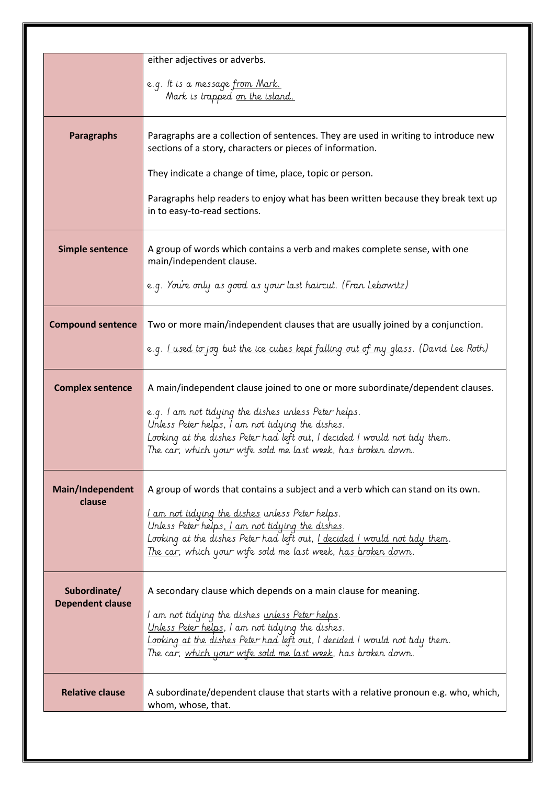| either adjectives or adverbs.<br>e.g. It is a message <u>from Mark.</u><br>Mark is trapped on the island.<br>Paragraphs are a collection of sentences. They are used in writing to introduce new<br>sections of a story, characters or pieces of information.<br>They indicate a change of time, place, topic or person.<br>Paragraphs help readers to enjoy what has been written because they break text up<br>in to easy-to-read sections.<br>A group of words which contains a verb and makes complete sense, with one<br>main/independent clause.<br>e.g. You're only as good as your last haircut. (Fran Lebowitz) |
|--------------------------------------------------------------------------------------------------------------------------------------------------------------------------------------------------------------------------------------------------------------------------------------------------------------------------------------------------------------------------------------------------------------------------------------------------------------------------------------------------------------------------------------------------------------------------------------------------------------------------|
|                                                                                                                                                                                                                                                                                                                                                                                                                                                                                                                                                                                                                          |
|                                                                                                                                                                                                                                                                                                                                                                                                                                                                                                                                                                                                                          |
|                                                                                                                                                                                                                                                                                                                                                                                                                                                                                                                                                                                                                          |
|                                                                                                                                                                                                                                                                                                                                                                                                                                                                                                                                                                                                                          |
|                                                                                                                                                                                                                                                                                                                                                                                                                                                                                                                                                                                                                          |
|                                                                                                                                                                                                                                                                                                                                                                                                                                                                                                                                                                                                                          |
|                                                                                                                                                                                                                                                                                                                                                                                                                                                                                                                                                                                                                          |
| Two or more main/independent clauses that are usually joined by a conjunction.                                                                                                                                                                                                                                                                                                                                                                                                                                                                                                                                           |
| e.g. <u>I used to jog</u> but <u>the ice cubes kept falling out of my glass</u> . (David Lee Roth)                                                                                                                                                                                                                                                                                                                                                                                                                                                                                                                       |
| A main/independent clause joined to one or more subordinate/dependent clauses.                                                                                                                                                                                                                                                                                                                                                                                                                                                                                                                                           |
| e.g. I am not tidying the dishes unless Peter helps.<br>Unless Peter helps, I am not tidying the dishes.                                                                                                                                                                                                                                                                                                                                                                                                                                                                                                                 |
| Looking at the dishes Peter had left out, I decided I would not tidy them.<br>The car, which your wife sold me last week, has broken down.                                                                                                                                                                                                                                                                                                                                                                                                                                                                               |
| A group of words that contains a subject and a verb which can stand on its own.                                                                                                                                                                                                                                                                                                                                                                                                                                                                                                                                          |
| <u>I am not tidying the dishes</u> unless Peter helps.                                                                                                                                                                                                                                                                                                                                                                                                                                                                                                                                                                   |
| Unless Peter helps, I am not tidying the dishes.                                                                                                                                                                                                                                                                                                                                                                                                                                                                                                                                                                         |
| Looking at the dishes Peter had left out, I decided I would not tidy them.<br>The car, which your wife sold me last week, has broken down.                                                                                                                                                                                                                                                                                                                                                                                                                                                                               |
| A secondary clause which depends on a main clause for meaning.                                                                                                                                                                                                                                                                                                                                                                                                                                                                                                                                                           |
| I am not tidying the dishes <u>unless Peter helps</u> .<br>Unless Peter helps, I am not tidying the dishes.<br>Looking at the dishes Peter had left out, I decided I would not tidy them.<br>The car, which your wife sold me last week, has broken down.                                                                                                                                                                                                                                                                                                                                                                |
| A subordinate/dependent clause that starts with a relative pronoun e.g. who, which,<br>whom, whose, that.                                                                                                                                                                                                                                                                                                                                                                                                                                                                                                                |
|                                                                                                                                                                                                                                                                                                                                                                                                                                                                                                                                                                                                                          |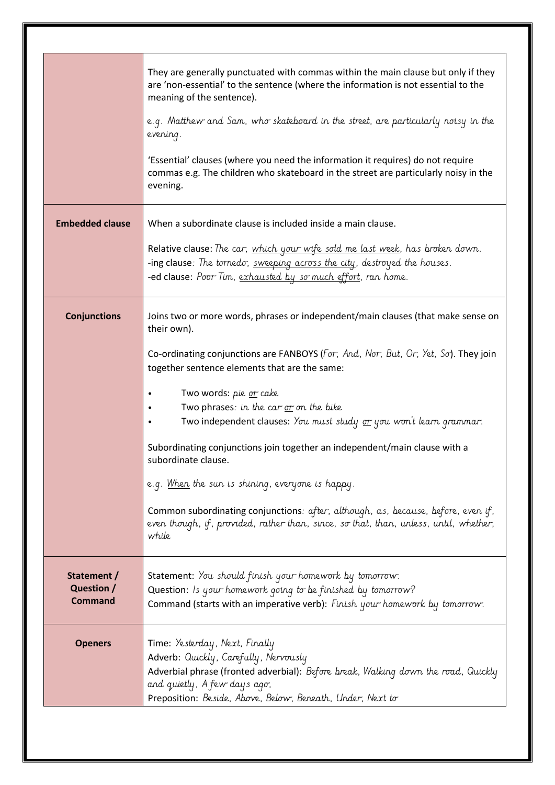|                                             | They are generally punctuated with commas within the main clause but only if they<br>are 'non-essential' to the sentence (where the information is not essential to the<br>meaning of the sentence).<br>e.g. Matthew and Sam, who skateboard in the street, are particularly noisy in the<br>evening.<br>'Essential' clauses (where you need the information it requires) do not require<br>commas e.g. The children who skateboard in the street are particularly noisy in the<br>evening. |
|---------------------------------------------|---------------------------------------------------------------------------------------------------------------------------------------------------------------------------------------------------------------------------------------------------------------------------------------------------------------------------------------------------------------------------------------------------------------------------------------------------------------------------------------------|
|                                             |                                                                                                                                                                                                                                                                                                                                                                                                                                                                                             |
| <b>Embedded clause</b>                      | When a subordinate clause is included inside a main clause.                                                                                                                                                                                                                                                                                                                                                                                                                                 |
|                                             | Relative clause: The car, which your wife sold me last week, has broken down.<br>-ing clause: The tornedo, sweeping across the city, destroyed the houses.<br>-ed clause: Poor Tim, exhausted by so much effort, ran home.                                                                                                                                                                                                                                                                  |
| <b>Conjunctions</b>                         | Joins two or more words, phrases or independent/main clauses (that make sense on<br>their own).                                                                                                                                                                                                                                                                                                                                                                                             |
|                                             | Co-ordinating conjunctions are FANBOYS (For, And, Nor, But, Or, Yet, So). They join<br>together sentence elements that are the same:                                                                                                                                                                                                                                                                                                                                                        |
|                                             | Two words: pie <u>or</u> cake<br>Two phrases: in the car or on the bike<br>Two independent clauses: You must study or you won't learn grammar.                                                                                                                                                                                                                                                                                                                                              |
|                                             | Subordinating conjunctions join together an independent/main clause with a<br>subordinate clause.                                                                                                                                                                                                                                                                                                                                                                                           |
|                                             | e.g. When the sun is shining, everyone is happy.                                                                                                                                                                                                                                                                                                                                                                                                                                            |
|                                             | Common subordinating conjunctions: after, although, as, because, before, even if,<br>even though, if, provided, rather than, since, so that, than, unless, until, whether,<br>while                                                                                                                                                                                                                                                                                                         |
| Statement /<br>Question /<br><b>Command</b> | Statement: You should finish your homework by tomorrow.<br>Question: Is your homework going to be finished by tomorrow?<br>Command (starts with an imperative verb): Finish your homework by tomorrow.                                                                                                                                                                                                                                                                                      |
| <b>Openers</b>                              | Time: Yesterday, Next, Finally<br>Adverb: Quickly, Carefully, Nervously<br>Adverbial phrase (fronted adverbial): Before break, Walking down the road, Quickly<br>and quietly, A few days ago,<br>Preposition: Beside, Above, Below, Beneath, Under, Next to                                                                                                                                                                                                                                 |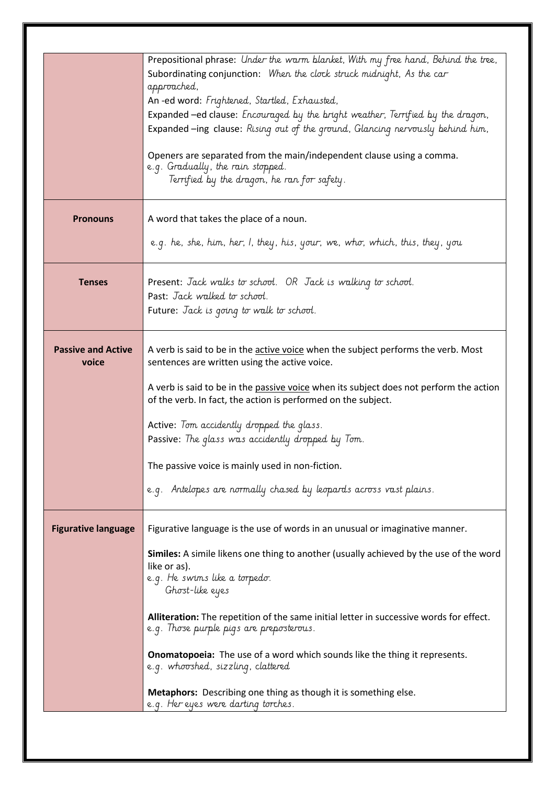|                            | Prepositional phrase: Under the warm blanket, With my free hand, Behind the tree,                                                   |
|----------------------------|-------------------------------------------------------------------------------------------------------------------------------------|
|                            | Subordinating conjunction: When the clock struck midnight, As the car                                                               |
|                            | approached,                                                                                                                         |
|                            | An-ed word: Frightened, Startled, Exhausted,                                                                                        |
|                            | Expanded -ed clause: Encouraged by the bright weather, Terrified by the dragon,                                                     |
|                            | Expanded-ing clause: Rising out of the ground, Glancing nervously behind him,                                                       |
|                            |                                                                                                                                     |
|                            | Openers are separated from the main/independent clause using a comma.                                                               |
|                            | e.g. Gradually, the rain stopped.                                                                                                   |
|                            | Terrified by the dragon, he ran for safety.                                                                                         |
|                            |                                                                                                                                     |
|                            |                                                                                                                                     |
| <b>Pronouns</b>            | A word that takes the place of a noun.                                                                                              |
|                            |                                                                                                                                     |
|                            | e.g. he, she, him, her, I, they, his, your, we, who, which, this, they, you                                                         |
|                            |                                                                                                                                     |
|                            |                                                                                                                                     |
| <b>Tenses</b>              | Present: Jack walks to school. OR Jack is walking to school.                                                                        |
|                            | Past: Jack walked to school.                                                                                                        |
|                            | Future: Jack is going to walk to school.                                                                                            |
|                            |                                                                                                                                     |
|                            |                                                                                                                                     |
| <b>Passive and Active</b>  | A verb is said to be in the active voice when the subject performs the verb. Most                                                   |
| voice                      | sentences are written using the active voice.                                                                                       |
|                            |                                                                                                                                     |
|                            | A verb is said to be in the passive voice when its subject does not perform the action                                              |
|                            | of the verb. In fact, the action is performed on the subject.                                                                       |
|                            | Active: Tom accidently dropped the glass.                                                                                           |
|                            |                                                                                                                                     |
|                            | Passive: The glass was accidently dropped by Tom.                                                                                   |
|                            | The passive voice is mainly used in non-fiction.                                                                                    |
|                            |                                                                                                                                     |
|                            | e.g. Antelopes are normally chased by leopards across vast plains.                                                                  |
|                            |                                                                                                                                     |
|                            |                                                                                                                                     |
| <b>Figurative language</b> | Figurative language is the use of words in an unusual or imaginative manner.                                                        |
|                            |                                                                                                                                     |
|                            | Similes: A simile likens one thing to another (usually achieved by the use of the word                                              |
|                            | like or as).                                                                                                                        |
|                            | e.g. He swims like a torpedo.                                                                                                       |
|                            | Ghost-like eyes                                                                                                                     |
|                            |                                                                                                                                     |
|                            | Alliteration: The repetition of the same initial letter in successive words for effect.<br>e.g. Those purple pigs are preposterous. |
|                            |                                                                                                                                     |
|                            | <b>Onomatopoeia:</b> The use of a word which sounds like the thing it represents.                                                   |
|                            | e.g. whooshed, sizzling, clattered                                                                                                  |
|                            |                                                                                                                                     |
|                            | <b>Metaphors:</b> Describing one thing as though it is something else.                                                              |
|                            | e.g. Her eyes were darting torches.                                                                                                 |
|                            |                                                                                                                                     |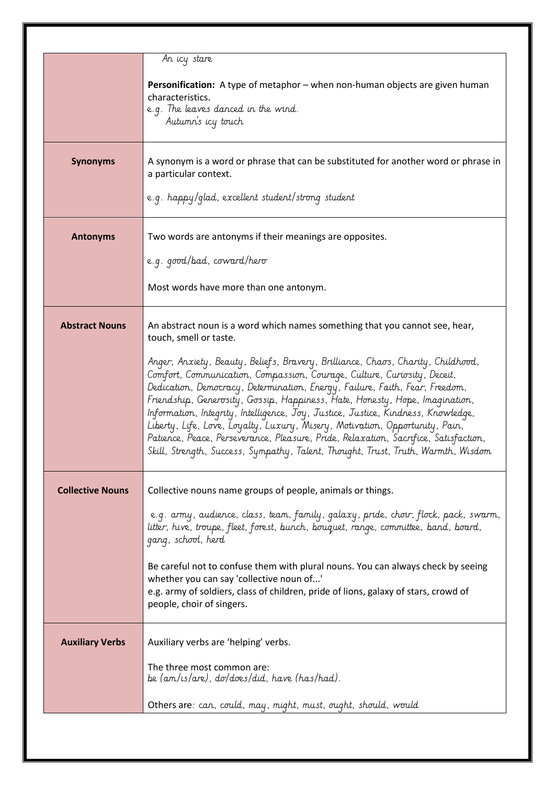|                         | An icy stare<br>Personification: A type of metaphor - when non-human objects are given human<br>characteristics.<br>e.g. The leaves danced in the wind.<br>Autumn's icy touch                                                                                                                                                                                                                                                                                                                                                                                                                                                                                                                                                                                                           |
|-------------------------|-----------------------------------------------------------------------------------------------------------------------------------------------------------------------------------------------------------------------------------------------------------------------------------------------------------------------------------------------------------------------------------------------------------------------------------------------------------------------------------------------------------------------------------------------------------------------------------------------------------------------------------------------------------------------------------------------------------------------------------------------------------------------------------------|
| <b>Synonyms</b>         | A synonym is a word or phrase that can be substituted for another word or phrase in<br>a particular context.<br>e.g. happy/glad, excellent student/strong student                                                                                                                                                                                                                                                                                                                                                                                                                                                                                                                                                                                                                       |
| <b>Antonyms</b>         | Two words are antonyms if their meanings are opposites.<br>e.g. good/bad, coward/hero<br>Most words have more than one antonym.                                                                                                                                                                                                                                                                                                                                                                                                                                                                                                                                                                                                                                                         |
| <b>Abstract Nouns</b>   | An abstract noun is a word which names something that you cannot see, hear,<br>touch, smell or taste.<br>Anger, Anxiety, Beauty, Beliefs, Bravery, Brilliance, Chaos, Charity, Childhood,<br>Comfort, Communication, Compassion, Courage, Culture, Curiosity, Deceit,<br>Dedication, Democracy, Determination, Energy, Failure, Faith, Fear, Freedom,<br>Friendship, Generosity, Gossip, Happiness, Hate, Honesty, Hope, Imagination,<br>Information, Integrity, Intelligence, Joy, Justice, Justice, Kindness, Knowledge,<br>Liberty, Life, Love, Loyalty, Luxury, Misery, Motivation, Opportunity, Pain,<br>Patience, Peace, Perseverance, Pleasure, Pride, Relaxation, Sacrifice, Satisfaction,<br>Skill, Strength, Success, Sympathy, Talent, Thought, Trust, Truth, Warmth, Wisdom |
| <b>Collective Nouns</b> | Collective nouns name groups of people, animals or things.<br>e.g. army, audience, class, team, family, galaxy, pride, choir, flock, pack, swarm,<br>litter, hive, troupe, fleet, forest, bunch, bouquet, range, committee, band, board,<br>gang, school, herd<br>Be careful not to confuse them with plural nouns. You can always check by seeing<br>whether you can say 'collective noun of'<br>e.g. army of soldiers, class of children, pride of lions, galaxy of stars, crowd of<br>people, choir of singers.                                                                                                                                                                                                                                                                      |
| <b>Auxiliary Verbs</b>  | Auxiliary verbs are 'helping' verbs.<br>The three most common are:<br>be (am/is/are), do/does/did, have (has/had).<br>Others are: can, could, may, might, must, ought, should, would                                                                                                                                                                                                                                                                                                                                                                                                                                                                                                                                                                                                    |